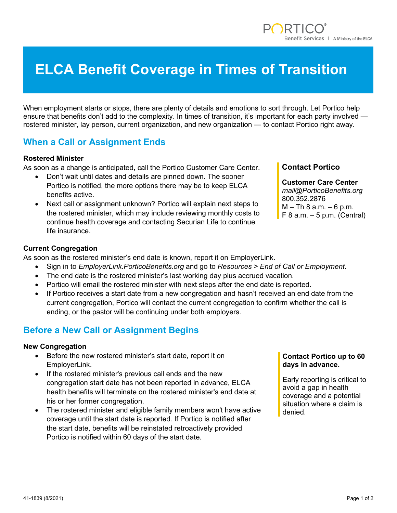# **ELCA Benefit Coverage in Times of Transition**

When employment starts or stops, there are plenty of details and emotions to sort through. Let Portico help ensure that benefits don't add to the complexity. In times of transition, it's important for each party involved rostered minister, lay person, current organization, and new organization — to contact Portico right away.

# **When a Call or Assignment Ends**

#### **Rostered Minister**

As soon as a change is anticipated, call the Portico Customer Care Center.

- Don't wait until dates and details are pinned down. The sooner Portico is notified, the more options there may be to keep ELCA benefits active.
- Next call or assignment unknown? Portico will explain next steps to the rostered minister, which may include reviewing monthly costs to continue health coverage and contacting Securian Life to continue life insurance.

## **Contact Portico**

**Customer Care Center** *mail@PorticoBenefits.org* 800.352.2876  $M - Th 8 a.m. - 6 p.m.$  $F 8 a.m. - 5 p.m.$  (Central)

### **Current Congregation**

As soon as the rostered minister's end date is known, report it on EmployerLink.

- Sign in to *EmployerLink.PorticoBenefits.org* and go to *Resources > End of Call or Employment*.
- The end date is the rostered minister's last working day plus accrued vacation.
- Portico will email the rostered minister with next steps after the end date is reported.
- If Portico receives a start date from a new congregation and hasn't received an end date from the current congregation, Portico will contact the current congregation to confirm whether the call is ending, or the pastor will be continuing under both employers.

# **Before a New Call or Assignment Begins**

#### **New Congregation**

- Before the new rostered minister's start date, report it on EmployerLink.
- If the rostered minister's previous call ends and the new congregation start date has not been reported in advance, ELCA health benefits will terminate on the rostered minister's end date at his or her former congregation.
- The rostered minister and eligible family members won't have active coverage until the start date is reported. If Portico is notified after the start date, benefits will be reinstated retroactively provided Portico is notified within 60 days of the start date.

## **Contact Portico up to 60 days in advance.**

Early reporting is critical to avoid a gap in health coverage and a potential situation where a claim is denied.